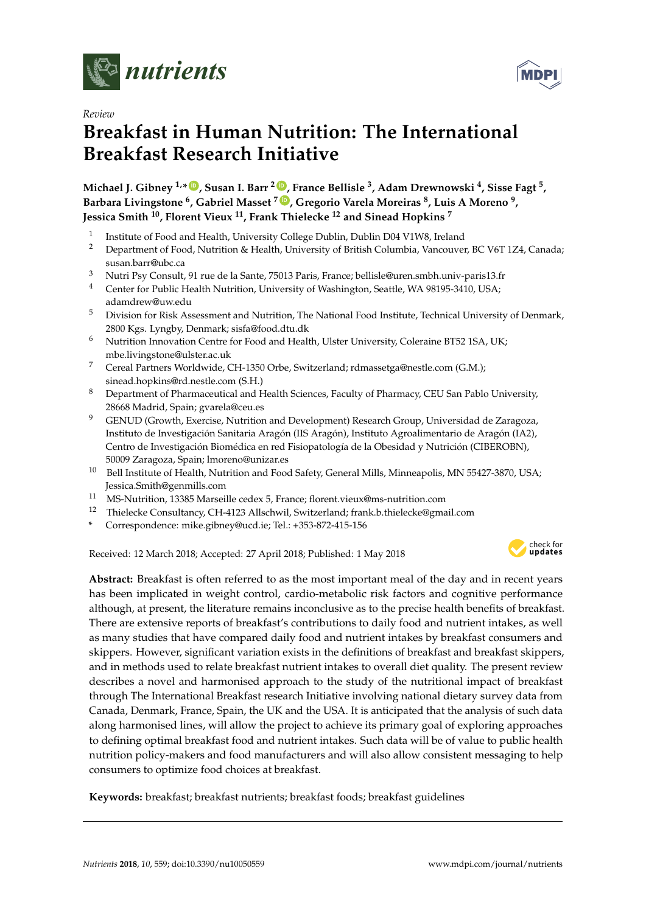

*Review*

# **Breakfast in Human Nutrition: The International Breakfast Research Initiative**

**Michael J. Gibney 1,\* [ID](https://orcid.org/0000-0001-5250-361X) , Susan I. Barr <sup>2</sup> [ID](https://orcid.org/0000-0001-8701-7152) , France Bellisle <sup>3</sup> , Adam Drewnowski <sup>4</sup> , Sisse Fagt <sup>5</sup> , Barbara Livingstone <sup>6</sup> , Gabriel Masset <sup>7</sup> [ID](https://orcid.org/0000-0001-6977-0247) , Gregorio Varela Moreiras <sup>8</sup> , Luis A Moreno <sup>9</sup> , Jessica Smith <sup>10</sup>, Florent Vieux <sup>11</sup>, Frank Thielecke <sup>12</sup> and Sinead Hopkins <sup>7</sup>**

- 1 Institute of Food and Health, University College Dublin, Dublin D04 V1W8, Ireland
- <sup>2</sup> Department of Food, Nutrition & Health, University of British Columbia, Vancouver, BC V6T 1Z4, Canada; susan.barr@ubc.ca
- <sup>3</sup> Nutri Psy Consult, 91 rue de la Sante, 75013 Paris, France; bellisle@uren.smbh.univ-paris13.fr
- <sup>4</sup> Center for Public Health Nutrition, University of Washington, Seattle, WA 98195-3410, USA; adamdrew@uw.edu
- <sup>5</sup> Division for Risk Assessment and Nutrition, The National Food Institute, Technical University of Denmark, 2800 Kgs. Lyngby, Denmark; sisfa@food.dtu.dk
- $6$  Nutrition Innovation Centre for Food and Health, Ulster University, Coleraine BT52 1SA, UK; mbe.livingstone@ulster.ac.uk
- <sup>7</sup> Cereal Partners Worldwide, CH-1350 Orbe, Switzerland; rdmassetga@nestle.com (G.M.); sinead.hopkins@rd.nestle.com (S.H.)
- 8 Department of Pharmaceutical and Health Sciences, Faculty of Pharmacy, CEU San Pablo University, 28668 Madrid, Spain; gvarela@ceu.es
- <sup>9</sup> GENUD (Growth, Exercise, Nutrition and Development) Research Group, Universidad de Zaragoza, Instituto de Investigación Sanitaria Aragón (IIS Aragón), Instituto Agroalimentario de Aragón (IA2), Centro de Investigación Biomédica en red Fisiopatología de la Obesidad y Nutrición (CIBEROBN), 50009 Zaragoza, Spain; lmoreno@unizar.es
- <sup>10</sup> Bell Institute of Health, Nutrition and Food Safety, General Mills, Minneapolis, MN 55427-3870, USA; Jessica.Smith@genmills.com
- <sup>11</sup> MS-Nutrition, 13385 Marseille cedex 5, France; florent.vieux@ms-nutrition.com
- <sup>12</sup> Thielecke Consultancy, CH-4123 Allschwil, Switzerland; frank.b.thielecke@gmail.com
- **\*** Correspondence: mike.gibney@ucd.ie; Tel.: +353-872-415-156

Received: 12 March 2018; Accepted: 27 April 2018; Published: 1 May 2018



**Abstract:** Breakfast is often referred to as the most important meal of the day and in recent years has been implicated in weight control, cardio-metabolic risk factors and cognitive performance although, at present, the literature remains inconclusive as to the precise health benefits of breakfast. There are extensive reports of breakfast's contributions to daily food and nutrient intakes, as well as many studies that have compared daily food and nutrient intakes by breakfast consumers and skippers. However, significant variation exists in the definitions of breakfast and breakfast skippers, and in methods used to relate breakfast nutrient intakes to overall diet quality. The present review describes a novel and harmonised approach to the study of the nutritional impact of breakfast through The International Breakfast research Initiative involving national dietary survey data from Canada, Denmark, France, Spain, the UK and the USA. It is anticipated that the analysis of such data along harmonised lines, will allow the project to achieve its primary goal of exploring approaches to defining optimal breakfast food and nutrient intakes. Such data will be of value to public health nutrition policy-makers and food manufacturers and will also allow consistent messaging to help consumers to optimize food choices at breakfast.

**Keywords:** breakfast; breakfast nutrients; breakfast foods; breakfast guidelines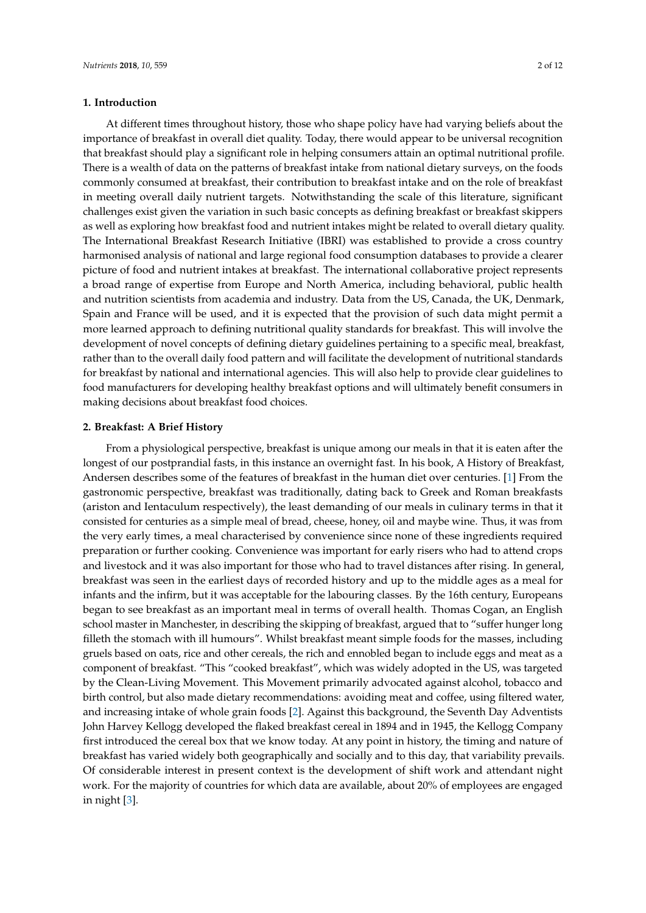# **1. Introduction**

At different times throughout history, those who shape policy have had varying beliefs about the importance of breakfast in overall diet quality. Today, there would appear to be universal recognition that breakfast should play a significant role in helping consumers attain an optimal nutritional profile. There is a wealth of data on the patterns of breakfast intake from national dietary surveys, on the foods commonly consumed at breakfast, their contribution to breakfast intake and on the role of breakfast in meeting overall daily nutrient targets. Notwithstanding the scale of this literature, significant challenges exist given the variation in such basic concepts as defining breakfast or breakfast skippers as well as exploring how breakfast food and nutrient intakes might be related to overall dietary quality. The International Breakfast Research Initiative (IBRI) was established to provide a cross country harmonised analysis of national and large regional food consumption databases to provide a clearer picture of food and nutrient intakes at breakfast. The international collaborative project represents a broad range of expertise from Europe and North America, including behavioral, public health and nutrition scientists from academia and industry. Data from the US, Canada, the UK, Denmark, Spain and France will be used, and it is expected that the provision of such data might permit a more learned approach to defining nutritional quality standards for breakfast. This will involve the development of novel concepts of defining dietary guidelines pertaining to a specific meal, breakfast, rather than to the overall daily food pattern and will facilitate the development of nutritional standards for breakfast by national and international agencies. This will also help to provide clear guidelines to food manufacturers for developing healthy breakfast options and will ultimately benefit consumers in making decisions about breakfast food choices.

## **2. Breakfast: A Brief History**

From a physiological perspective, breakfast is unique among our meals in that it is eaten after the longest of our postprandial fasts, in this instance an overnight fast. In his book, A History of Breakfast, Andersen describes some of the features of breakfast in the human diet over centuries. [\[1\]](#page-8-0) From the gastronomic perspective, breakfast was traditionally, dating back to Greek and Roman breakfasts (ariston and Ientaculum respectively), the least demanding of our meals in culinary terms in that it consisted for centuries as a simple meal of bread, cheese, honey, oil and maybe wine. Thus, it was from the very early times, a meal characterised by convenience since none of these ingredients required preparation or further cooking. Convenience was important for early risers who had to attend crops and livestock and it was also important for those who had to travel distances after rising. In general, breakfast was seen in the earliest days of recorded history and up to the middle ages as a meal for infants and the infirm, but it was acceptable for the labouring classes. By the 16th century, Europeans began to see breakfast as an important meal in terms of overall health. Thomas Cogan, an English school master in Manchester, in describing the skipping of breakfast, argued that to "suffer hunger long filleth the stomach with ill humours". Whilst breakfast meant simple foods for the masses, including gruels based on oats, rice and other cereals, the rich and ennobled began to include eggs and meat as a component of breakfast. "This "cooked breakfast", which was widely adopted in the US, was targeted by the Clean-Living Movement. This Movement primarily advocated against alcohol, tobacco and birth control, but also made dietary recommendations: avoiding meat and coffee, using filtered water, and increasing intake of whole grain foods [\[2\]](#page-8-1). Against this background, the Seventh Day Adventists John Harvey Kellogg developed the flaked breakfast cereal in 1894 and in 1945, the Kellogg Company first introduced the cereal box that we know today. At any point in history, the timing and nature of breakfast has varied widely both geographically and socially and to this day, that variability prevails. Of considerable interest in present context is the development of shift work and attendant night work. For the majority of countries for which data are available, about 20% of employees are engaged in night [\[3\]](#page-9-0).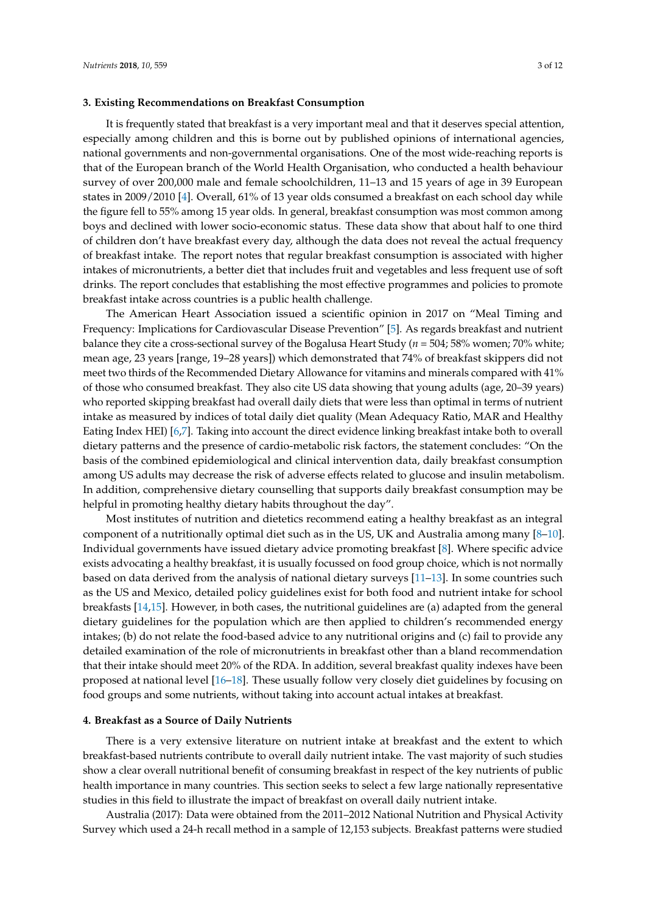## **3. Existing Recommendations on Breakfast Consumption**

It is frequently stated that breakfast is a very important meal and that it deserves special attention, especially among children and this is borne out by published opinions of international agencies, national governments and non-governmental organisations. One of the most wide-reaching reports is that of the European branch of the World Health Organisation, who conducted a health behaviour survey of over 200,000 male and female schoolchildren, 11–13 and 15 years of age in 39 European states in 2009/2010 [\[4\]](#page-9-1). Overall, 61% of 13 year olds consumed a breakfast on each school day while the figure fell to 55% among 15 year olds. In general, breakfast consumption was most common among boys and declined with lower socio-economic status. These data show that about half to one third of children don't have breakfast every day, although the data does not reveal the actual frequency of breakfast intake. The report notes that regular breakfast consumption is associated with higher intakes of micronutrients, a better diet that includes fruit and vegetables and less frequent use of soft drinks. The report concludes that establishing the most effective programmes and policies to promote breakfast intake across countries is a public health challenge.

The American Heart Association issued a scientific opinion in 2017 on "Meal Timing and Frequency: Implications for Cardiovascular Disease Prevention" [\[5\]](#page-9-2). As regards breakfast and nutrient balance they cite a cross-sectional survey of the Bogalusa Heart Study (*n* = 504; 58% women; 70% white; mean age, 23 years [range, 19–28 years]) which demonstrated that 74% of breakfast skippers did not meet two thirds of the Recommended Dietary Allowance for vitamins and minerals compared with 41% of those who consumed breakfast. They also cite US data showing that young adults (age, 20–39 years) who reported skipping breakfast had overall daily diets that were less than optimal in terms of nutrient intake as measured by indices of total daily diet quality (Mean Adequacy Ratio, MAR and Healthy Eating Index HEI) [\[6,](#page-9-3)[7\]](#page-9-4). Taking into account the direct evidence linking breakfast intake both to overall dietary patterns and the presence of cardio-metabolic risk factors, the statement concludes: "On the basis of the combined epidemiological and clinical intervention data, daily breakfast consumption among US adults may decrease the risk of adverse effects related to glucose and insulin metabolism. In addition, comprehensive dietary counselling that supports daily breakfast consumption may be helpful in promoting healthy dietary habits throughout the day".

Most institutes of nutrition and dietetics recommend eating a healthy breakfast as an integral component of a nutritionally optimal diet such as in the US, UK and Australia among many [\[8–](#page-9-5)[10\]](#page-9-6). Individual governments have issued dietary advice promoting breakfast [\[8\]](#page-9-5). Where specific advice exists advocating a healthy breakfast, it is usually focussed on food group choice, which is not normally based on data derived from the analysis of national dietary surveys [\[11](#page-9-7)[–13\]](#page-9-8). In some countries such as the US and Mexico, detailed policy guidelines exist for both food and nutrient intake for school breakfasts [\[14,](#page-9-9)[15\]](#page-9-10). However, in both cases, the nutritional guidelines are (a) adapted from the general dietary guidelines for the population which are then applied to children's recommended energy intakes; (b) do not relate the food-based advice to any nutritional origins and (c) fail to provide any detailed examination of the role of micronutrients in breakfast other than a bland recommendation that their intake should meet 20% of the RDA. In addition, several breakfast quality indexes have been proposed at national level [\[16](#page-9-11)[–18\]](#page-9-12). These usually follow very closely diet guidelines by focusing on food groups and some nutrients, without taking into account actual intakes at breakfast.

## **4. Breakfast as a Source of Daily Nutrients**

There is a very extensive literature on nutrient intake at breakfast and the extent to which breakfast-based nutrients contribute to overall daily nutrient intake. The vast majority of such studies show a clear overall nutritional benefit of consuming breakfast in respect of the key nutrients of public health importance in many countries. This section seeks to select a few large nationally representative studies in this field to illustrate the impact of breakfast on overall daily nutrient intake.

Australia (2017): Data were obtained from the 2011–2012 National Nutrition and Physical Activity Survey which used a 24-h recall method in a sample of 12,153 subjects. Breakfast patterns were studied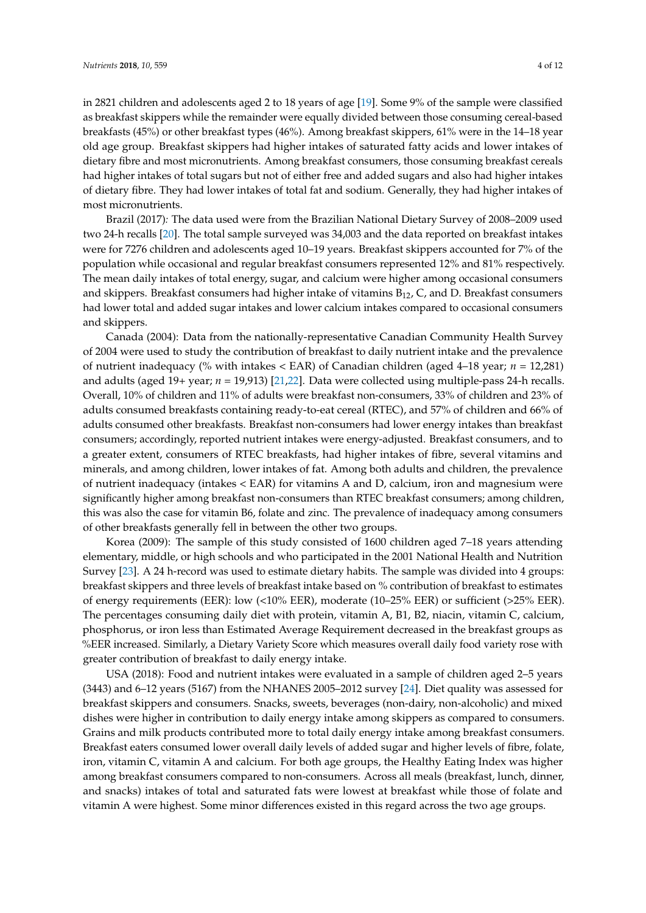in 2821 children and adolescents aged 2 to 18 years of age [\[19\]](#page-9-13). Some 9% of the sample were classified as breakfast skippers while the remainder were equally divided between those consuming cereal-based breakfasts (45%) or other breakfast types (46%). Among breakfast skippers, 61% were in the 14–18 year old age group. Breakfast skippers had higher intakes of saturated fatty acids and lower intakes of dietary fibre and most micronutrients. Among breakfast consumers, those consuming breakfast cereals had higher intakes of total sugars but not of either free and added sugars and also had higher intakes of dietary fibre. They had lower intakes of total fat and sodium. Generally, they had higher intakes of most micronutrients.

Brazil (2017)*:* The data used were from the Brazilian National Dietary Survey of 2008–2009 used two 24-h recalls [\[20\]](#page-9-14). The total sample surveyed was 34,003 and the data reported on breakfast intakes were for 7276 children and adolescents aged 10–19 years. Breakfast skippers accounted for 7% of the population while occasional and regular breakfast consumers represented 12% and 81% respectively. The mean daily intakes of total energy, sugar, and calcium were higher among occasional consumers and skippers. Breakfast consumers had higher intake of vitamins  $B_{12}$ , C, and D. Breakfast consumers had lower total and added sugar intakes and lower calcium intakes compared to occasional consumers and skippers.

Canada (2004): Data from the nationally-representative Canadian Community Health Survey of 2004 were used to study the contribution of breakfast to daily nutrient intake and the prevalence of nutrient inadequacy (% with intakes < EAR) of Canadian children (aged 4–18 year; *n* = 12,281) and adults (aged 19+ year; *n* = 19,913) [\[21](#page-9-15)[,22\]](#page-10-0). Data were collected using multiple-pass 24-h recalls. Overall, 10% of children and 11% of adults were breakfast non-consumers, 33% of children and 23% of adults consumed breakfasts containing ready-to-eat cereal (RTEC), and 57% of children and 66% of adults consumed other breakfasts. Breakfast non-consumers had lower energy intakes than breakfast consumers; accordingly, reported nutrient intakes were energy-adjusted. Breakfast consumers, and to a greater extent, consumers of RTEC breakfasts, had higher intakes of fibre, several vitamins and minerals, and among children, lower intakes of fat. Among both adults and children, the prevalence of nutrient inadequacy (intakes < EAR) for vitamins A and D, calcium, iron and magnesium were significantly higher among breakfast non-consumers than RTEC breakfast consumers; among children, this was also the case for vitamin B6, folate and zinc. The prevalence of inadequacy among consumers of other breakfasts generally fell in between the other two groups.

Korea (2009): The sample of this study consisted of 1600 children aged 7–18 years attending elementary, middle, or high schools and who participated in the 2001 National Health and Nutrition Survey [\[23\]](#page-10-1). A 24 h-record was used to estimate dietary habits. The sample was divided into 4 groups: breakfast skippers and three levels of breakfast intake based on % contribution of breakfast to estimates of energy requirements (EER): low (<10% EER), moderate (10–25% EER) or sufficient (>25% EER). The percentages consuming daily diet with protein, vitamin A, B1, B2, niacin, vitamin C, calcium, phosphorus, or iron less than Estimated Average Requirement decreased in the breakfast groups as %EER increased. Similarly, a Dietary Variety Score which measures overall daily food variety rose with greater contribution of breakfast to daily energy intake.

USA (2018): Food and nutrient intakes were evaluated in a sample of children aged 2–5 years (3443) and 6–12 years (5167) from the NHANES 2005–2012 survey [\[24\]](#page-10-2). Diet quality was assessed for breakfast skippers and consumers. Snacks, sweets, beverages (non-dairy, non-alcoholic) and mixed dishes were higher in contribution to daily energy intake among skippers as compared to consumers. Grains and milk products contributed more to total daily energy intake among breakfast consumers. Breakfast eaters consumed lower overall daily levels of added sugar and higher levels of fibre, folate, iron, vitamin C, vitamin A and calcium. For both age groups, the Healthy Eating Index was higher among breakfast consumers compared to non-consumers. Across all meals (breakfast, lunch, dinner, and snacks) intakes of total and saturated fats were lowest at breakfast while those of folate and vitamin A were highest. Some minor differences existed in this regard across the two age groups.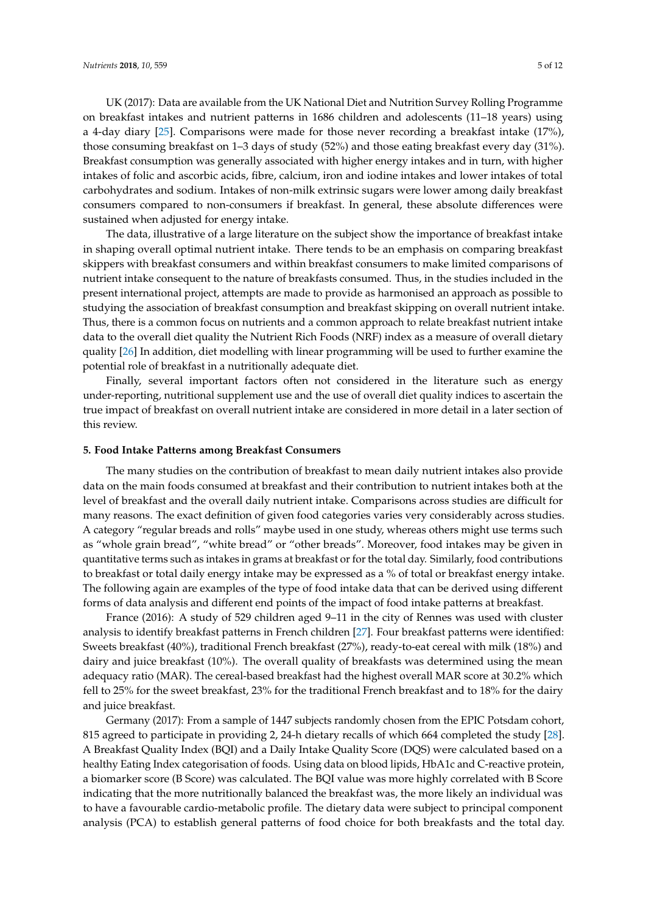UK (2017): Data are available from the UK National Diet and Nutrition Survey Rolling Programme on breakfast intakes and nutrient patterns in 1686 children and adolescents (11–18 years) using a 4-day diary [\[25\]](#page-10-3). Comparisons were made for those never recording a breakfast intake (17%), those consuming breakfast on 1–3 days of study (52%) and those eating breakfast every day (31%). Breakfast consumption was generally associated with higher energy intakes and in turn, with higher intakes of folic and ascorbic acids, fibre, calcium, iron and iodine intakes and lower intakes of total carbohydrates and sodium. Intakes of non-milk extrinsic sugars were lower among daily breakfast consumers compared to non-consumers if breakfast. In general, these absolute differences were sustained when adjusted for energy intake.

The data, illustrative of a large literature on the subject show the importance of breakfast intake in shaping overall optimal nutrient intake. There tends to be an emphasis on comparing breakfast skippers with breakfast consumers and within breakfast consumers to make limited comparisons of nutrient intake consequent to the nature of breakfasts consumed. Thus, in the studies included in the present international project, attempts are made to provide as harmonised an approach as possible to studying the association of breakfast consumption and breakfast skipping on overall nutrient intake. Thus, there is a common focus on nutrients and a common approach to relate breakfast nutrient intake data to the overall diet quality the Nutrient Rich Foods (NRF) index as a measure of overall dietary quality [\[26\]](#page-10-4) In addition, diet modelling with linear programming will be used to further examine the potential role of breakfast in a nutritionally adequate diet.

Finally, several important factors often not considered in the literature such as energy under-reporting, nutritional supplement use and the use of overall diet quality indices to ascertain the true impact of breakfast on overall nutrient intake are considered in more detail in a later section of this review.

#### **5. Food Intake Patterns among Breakfast Consumers**

The many studies on the contribution of breakfast to mean daily nutrient intakes also provide data on the main foods consumed at breakfast and their contribution to nutrient intakes both at the level of breakfast and the overall daily nutrient intake. Comparisons across studies are difficult for many reasons. The exact definition of given food categories varies very considerably across studies. A category "regular breads and rolls" maybe used in one study, whereas others might use terms such as "whole grain bread", "white bread" or "other breads". Moreover, food intakes may be given in quantitative terms such as intakes in grams at breakfast or for the total day. Similarly, food contributions to breakfast or total daily energy intake may be expressed as a % of total or breakfast energy intake. The following again are examples of the type of food intake data that can be derived using different forms of data analysis and different end points of the impact of food intake patterns at breakfast.

France (2016): A study of 529 children aged 9–11 in the city of Rennes was used with cluster analysis to identify breakfast patterns in French children [\[27\]](#page-10-5). Four breakfast patterns were identified: Sweets breakfast (40%), traditional French breakfast (27%), ready-to-eat cereal with milk (18%) and dairy and juice breakfast (10%). The overall quality of breakfasts was determined using the mean adequacy ratio (MAR). The cereal-based breakfast had the highest overall MAR score at 30.2% which fell to 25% for the sweet breakfast, 23% for the traditional French breakfast and to 18% for the dairy and juice breakfast.

Germany (2017): From a sample of 1447 subjects randomly chosen from the EPIC Potsdam cohort, 815 agreed to participate in providing 2, 24-h dietary recalls of which 664 completed the study [\[28\]](#page-10-6). A Breakfast Quality Index (BQI) and a Daily Intake Quality Score (DQS) were calculated based on a healthy Eating Index categorisation of foods. Using data on blood lipids, HbA1c and C-reactive protein, a biomarker score (B Score) was calculated. The BQI value was more highly correlated with B Score indicating that the more nutritionally balanced the breakfast was, the more likely an individual was to have a favourable cardio-metabolic profile. The dietary data were subject to principal component analysis (PCA) to establish general patterns of food choice for both breakfasts and the total day.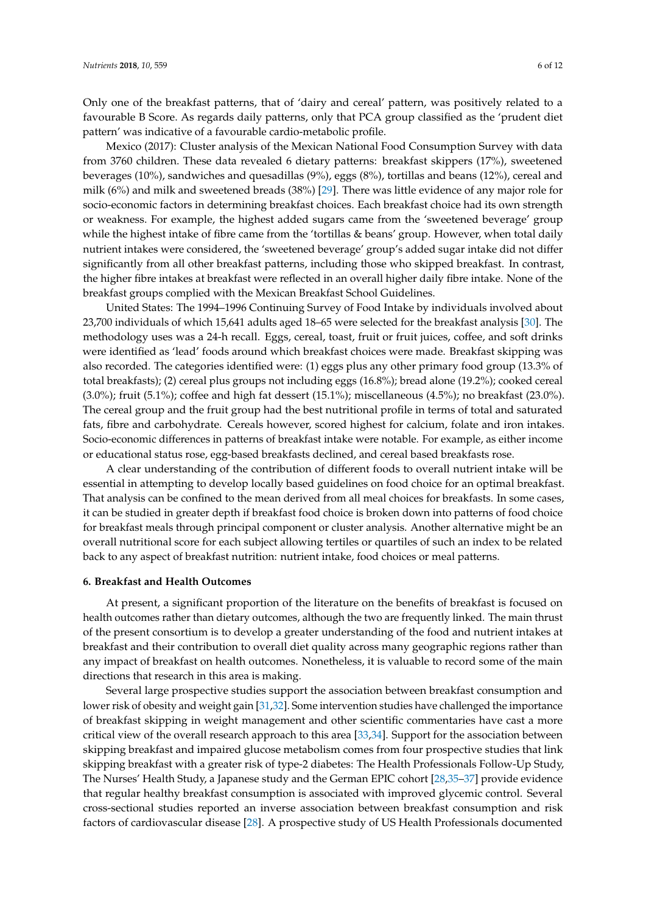Only one of the breakfast patterns, that of 'dairy and cereal' pattern, was positively related to a favourable B Score. As regards daily patterns, only that PCA group classified as the 'prudent diet pattern' was indicative of a favourable cardio-metabolic profile.

Mexico (2017): Cluster analysis of the Mexican National Food Consumption Survey with data from 3760 children. These data revealed 6 dietary patterns: breakfast skippers (17%), sweetened beverages (10%), sandwiches and quesadillas (9%), eggs (8%), tortillas and beans (12%), cereal and milk (6%) and milk and sweetened breads (38%) [\[29\]](#page-10-7). There was little evidence of any major role for socio-economic factors in determining breakfast choices. Each breakfast choice had its own strength or weakness. For example, the highest added sugars came from the 'sweetened beverage' group while the highest intake of fibre came from the 'tortillas & beans' group. However, when total daily nutrient intakes were considered, the 'sweetened beverage' group's added sugar intake did not differ significantly from all other breakfast patterns, including those who skipped breakfast. In contrast, the higher fibre intakes at breakfast were reflected in an overall higher daily fibre intake. None of the breakfast groups complied with the Mexican Breakfast School Guidelines.

United States: The 1994–1996 Continuing Survey of Food Intake by individuals involved about 23,700 individuals of which 15,641 adults aged 18–65 were selected for the breakfast analysis [\[30\]](#page-10-8). The methodology uses was a 24-h recall. Eggs, cereal, toast, fruit or fruit juices, coffee, and soft drinks were identified as 'lead' foods around which breakfast choices were made. Breakfast skipping was also recorded. The categories identified were: (1) eggs plus any other primary food group (13.3% of total breakfasts); (2) cereal plus groups not including eggs (16.8%); bread alone (19.2%); cooked cereal (3.0%); fruit (5.1%); coffee and high fat dessert (15.1%); miscellaneous (4.5%); no breakfast (23.0%). The cereal group and the fruit group had the best nutritional profile in terms of total and saturated fats, fibre and carbohydrate. Cereals however, scored highest for calcium, folate and iron intakes. Socio-economic differences in patterns of breakfast intake were notable. For example, as either income or educational status rose, egg-based breakfasts declined, and cereal based breakfasts rose.

A clear understanding of the contribution of different foods to overall nutrient intake will be essential in attempting to develop locally based guidelines on food choice for an optimal breakfast. That analysis can be confined to the mean derived from all meal choices for breakfasts. In some cases, it can be studied in greater depth if breakfast food choice is broken down into patterns of food choice for breakfast meals through principal component or cluster analysis. Another alternative might be an overall nutritional score for each subject allowing tertiles or quartiles of such an index to be related back to any aspect of breakfast nutrition: nutrient intake, food choices or meal patterns.

# **6. Breakfast and Health Outcomes**

At present, a significant proportion of the literature on the benefits of breakfast is focused on health outcomes rather than dietary outcomes, although the two are frequently linked. The main thrust of the present consortium is to develop a greater understanding of the food and nutrient intakes at breakfast and their contribution to overall diet quality across many geographic regions rather than any impact of breakfast on health outcomes. Nonetheless, it is valuable to record some of the main directions that research in this area is making.

Several large prospective studies support the association between breakfast consumption and lower risk of obesity and weight gain [\[31](#page-10-9)[,32\]](#page-10-10). Some intervention studies have challenged the importance of breakfast skipping in weight management and other scientific commentaries have cast a more critical view of the overall research approach to this area [\[33,](#page-10-11)[34\]](#page-10-12). Support for the association between skipping breakfast and impaired glucose metabolism comes from four prospective studies that link skipping breakfast with a greater risk of type-2 diabetes: The Health Professionals Follow-Up Study, The Nurses' Health Study, a Japanese study and the German EPIC cohort [\[28](#page-10-6)[,35–](#page-10-13)[37\]](#page-10-14) provide evidence that regular healthy breakfast consumption is associated with improved glycemic control. Several cross-sectional studies reported an inverse association between breakfast consumption and risk factors of cardiovascular disease [\[28\]](#page-10-6). A prospective study of US Health Professionals documented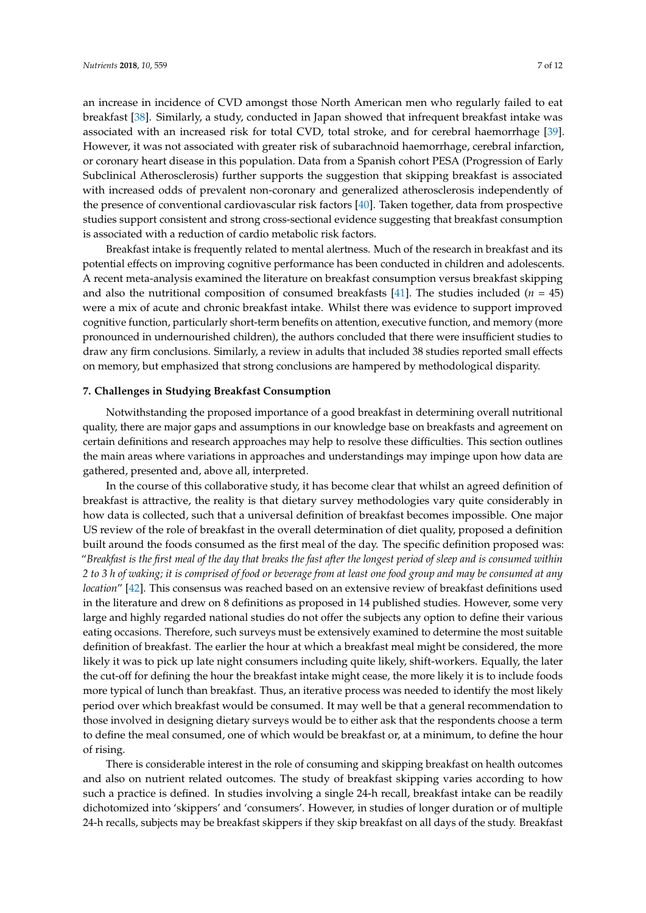an increase in incidence of CVD amongst those North American men who regularly failed to eat breakfast [\[38\]](#page-10-15). Similarly, a study, conducted in Japan showed that infrequent breakfast intake was associated with an increased risk for total CVD, total stroke, and for cerebral haemorrhage [\[39\]](#page-10-16). However, it was not associated with greater risk of subarachnoid haemorrhage, cerebral infarction, or coronary heart disease in this population. Data from a Spanish cohort PESA (Progression of Early Subclinical Atherosclerosis) further supports the suggestion that skipping breakfast is associated with increased odds of prevalent non-coronary and generalized atherosclerosis independently of the presence of conventional cardiovascular risk factors [\[40\]](#page-10-17). Taken together, data from prospective studies support consistent and strong cross-sectional evidence suggesting that breakfast consumption is associated with a reduction of cardio metabolic risk factors.

Breakfast intake is frequently related to mental alertness. Much of the research in breakfast and its potential effects on improving cognitive performance has been conducted in children and adolescents. A recent meta-analysis examined the literature on breakfast consumption versus breakfast skipping and also the nutritional composition of consumed breakfasts [\[41\]](#page-11-0). The studies included  $(n = 45)$ were a mix of acute and chronic breakfast intake. Whilst there was evidence to support improved cognitive function, particularly short-term benefits on attention, executive function, and memory (more pronounced in undernourished children), the authors concluded that there were insufficient studies to draw any firm conclusions. Similarly, a review in adults that included 38 studies reported small effects on memory, but emphasized that strong conclusions are hampered by methodological disparity.

## **7. Challenges in Studying Breakfast Consumption**

Notwithstanding the proposed importance of a good breakfast in determining overall nutritional quality, there are major gaps and assumptions in our knowledge base on breakfasts and agreement on certain definitions and research approaches may help to resolve these difficulties. This section outlines the main areas where variations in approaches and understandings may impinge upon how data are gathered, presented and, above all, interpreted.

In the course of this collaborative study, it has become clear that whilst an agreed definition of breakfast is attractive, the reality is that dietary survey methodologies vary quite considerably in how data is collected, such that a universal definition of breakfast becomes impossible. One major US review of the role of breakfast in the overall determination of diet quality, proposed a definition built around the foods consumed as the first meal of the day. The specific definition proposed was: "*Breakfast is the first meal of the day that breaks the fast after the longest period of sleep and is consumed within 2 to 3 h of waking; it is comprised of food or beverage from at least one food group and may be consumed at any location*" [\[42\]](#page-11-1). This consensus was reached based on an extensive review of breakfast definitions used in the literature and drew on 8 definitions as proposed in 14 published studies. However, some very large and highly regarded national studies do not offer the subjects any option to define their various eating occasions. Therefore, such surveys must be extensively examined to determine the most suitable definition of breakfast. The earlier the hour at which a breakfast meal might be considered, the more likely it was to pick up late night consumers including quite likely, shift-workers. Equally, the later the cut-off for defining the hour the breakfast intake might cease, the more likely it is to include foods more typical of lunch than breakfast. Thus, an iterative process was needed to identify the most likely period over which breakfast would be consumed. It may well be that a general recommendation to those involved in designing dietary surveys would be to either ask that the respondents choose a term to define the meal consumed, one of which would be breakfast or, at a minimum, to define the hour of rising.

There is considerable interest in the role of consuming and skipping breakfast on health outcomes and also on nutrient related outcomes. The study of breakfast skipping varies according to how such a practice is defined. In studies involving a single 24-h recall, breakfast intake can be readily dichotomized into 'skippers' and 'consumers'. However, in studies of longer duration or of multiple 24-h recalls, subjects may be breakfast skippers if they skip breakfast on all days of the study. Breakfast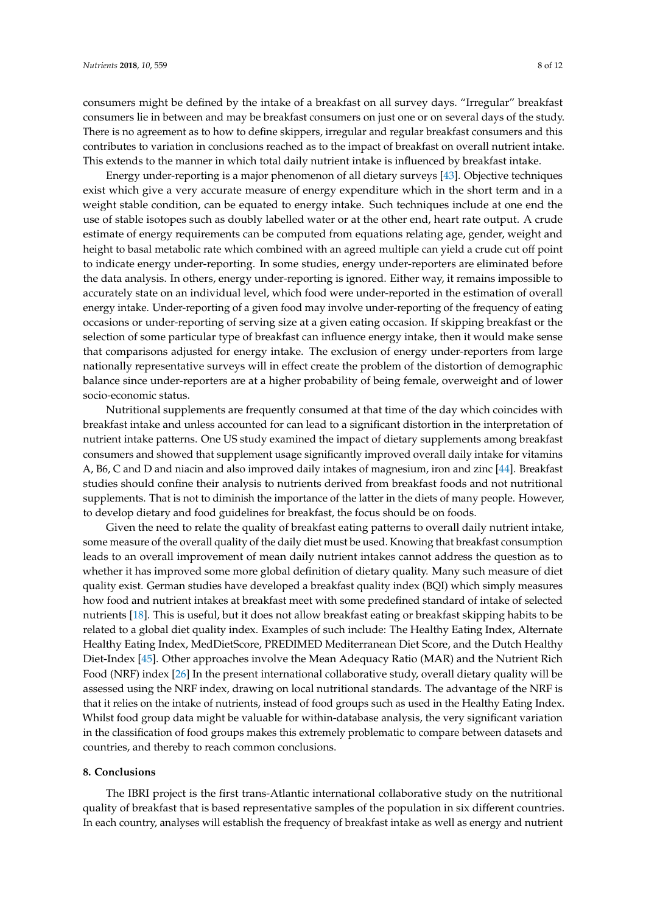consumers might be defined by the intake of a breakfast on all survey days. "Irregular" breakfast consumers lie in between and may be breakfast consumers on just one or on several days of the study. There is no agreement as to how to define skippers, irregular and regular breakfast consumers and this contributes to variation in conclusions reached as to the impact of breakfast on overall nutrient intake. This extends to the manner in which total daily nutrient intake is influenced by breakfast intake.

Energy under-reporting is a major phenomenon of all dietary surveys [\[43\]](#page-11-2). Objective techniques exist which give a very accurate measure of energy expenditure which in the short term and in a weight stable condition, can be equated to energy intake. Such techniques include at one end the use of stable isotopes such as doubly labelled water or at the other end, heart rate output. A crude estimate of energy requirements can be computed from equations relating age, gender, weight and height to basal metabolic rate which combined with an agreed multiple can yield a crude cut off point to indicate energy under-reporting. In some studies, energy under-reporters are eliminated before the data analysis. In others, energy under-reporting is ignored. Either way, it remains impossible to accurately state on an individual level, which food were under-reported in the estimation of overall energy intake. Under-reporting of a given food may involve under-reporting of the frequency of eating occasions or under-reporting of serving size at a given eating occasion. If skipping breakfast or the selection of some particular type of breakfast can influence energy intake, then it would make sense that comparisons adjusted for energy intake. The exclusion of energy under-reporters from large nationally representative surveys will in effect create the problem of the distortion of demographic balance since under-reporters are at a higher probability of being female, overweight and of lower socio-economic status.

Nutritional supplements are frequently consumed at that time of the day which coincides with breakfast intake and unless accounted for can lead to a significant distortion in the interpretation of nutrient intake patterns. One US study examined the impact of dietary supplements among breakfast consumers and showed that supplement usage significantly improved overall daily intake for vitamins A, B6, C and D and niacin and also improved daily intakes of magnesium, iron and zinc [\[44\]](#page-11-3). Breakfast studies should confine their analysis to nutrients derived from breakfast foods and not nutritional supplements. That is not to diminish the importance of the latter in the diets of many people. However, to develop dietary and food guidelines for breakfast, the focus should be on foods.

Given the need to relate the quality of breakfast eating patterns to overall daily nutrient intake, some measure of the overall quality of the daily diet must be used. Knowing that breakfast consumption leads to an overall improvement of mean daily nutrient intakes cannot address the question as to whether it has improved some more global definition of dietary quality. Many such measure of diet quality exist. German studies have developed a breakfast quality index (BQI) which simply measures how food and nutrient intakes at breakfast meet with some predefined standard of intake of selected nutrients [\[18\]](#page-9-12). This is useful, but it does not allow breakfast eating or breakfast skipping habits to be related to a global diet quality index. Examples of such include: The Healthy Eating Index, Alternate Healthy Eating Index, MedDietScore, PREDIMED Mediterranean Diet Score, and the Dutch Healthy Diet-Index [\[45\]](#page-11-4). Other approaches involve the Mean Adequacy Ratio (MAR) and the Nutrient Rich Food (NRF) index [\[26\]](#page-10-4) In the present international collaborative study, overall dietary quality will be assessed using the NRF index, drawing on local nutritional standards. The advantage of the NRF is that it relies on the intake of nutrients, instead of food groups such as used in the Healthy Eating Index. Whilst food group data might be valuable for within-database analysis, the very significant variation in the classification of food groups makes this extremely problematic to compare between datasets and countries, and thereby to reach common conclusions.

## **8. Conclusions**

The IBRI project is the first trans-Atlantic international collaborative study on the nutritional quality of breakfast that is based representative samples of the population in six different countries. In each country, analyses will establish the frequency of breakfast intake as well as energy and nutrient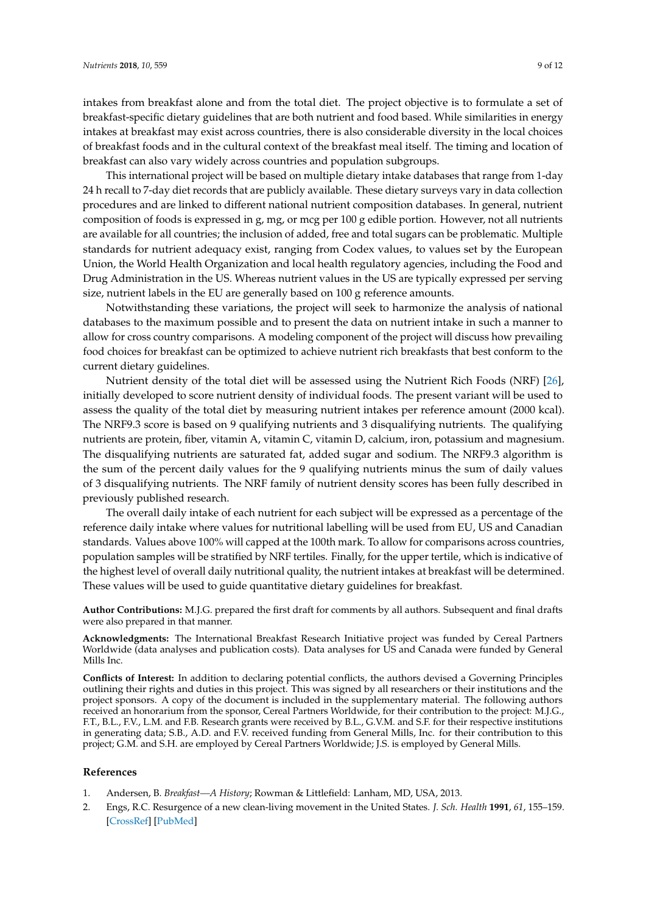intakes from breakfast alone and from the total diet. The project objective is to formulate a set of breakfast-specific dietary guidelines that are both nutrient and food based. While similarities in energy intakes at breakfast may exist across countries, there is also considerable diversity in the local choices of breakfast foods and in the cultural context of the breakfast meal itself. The timing and location of breakfast can also vary widely across countries and population subgroups.

This international project will be based on multiple dietary intake databases that range from 1-day 24 h recall to 7-day diet records that are publicly available. These dietary surveys vary in data collection procedures and are linked to different national nutrient composition databases. In general, nutrient composition of foods is expressed in g, mg, or mcg per 100 g edible portion. However, not all nutrients are available for all countries; the inclusion of added, free and total sugars can be problematic. Multiple standards for nutrient adequacy exist, ranging from Codex values, to values set by the European Union, the World Health Organization and local health regulatory agencies, including the Food and Drug Administration in the US. Whereas nutrient values in the US are typically expressed per serving size, nutrient labels in the EU are generally based on 100 g reference amounts.

Notwithstanding these variations, the project will seek to harmonize the analysis of national databases to the maximum possible and to present the data on nutrient intake in such a manner to allow for cross country comparisons. A modeling component of the project will discuss how prevailing food choices for breakfast can be optimized to achieve nutrient rich breakfasts that best conform to the current dietary guidelines.

Nutrient density of the total diet will be assessed using the Nutrient Rich Foods (NRF) [\[26\]](#page-10-4), initially developed to score nutrient density of individual foods. The present variant will be used to assess the quality of the total diet by measuring nutrient intakes per reference amount (2000 kcal). The NRF9.3 score is based on 9 qualifying nutrients and 3 disqualifying nutrients. The qualifying nutrients are protein, fiber, vitamin A, vitamin C, vitamin D, calcium, iron, potassium and magnesium. The disqualifying nutrients are saturated fat, added sugar and sodium. The NRF9.3 algorithm is the sum of the percent daily values for the 9 qualifying nutrients minus the sum of daily values of 3 disqualifying nutrients. The NRF family of nutrient density scores has been fully described in previously published research.

The overall daily intake of each nutrient for each subject will be expressed as a percentage of the reference daily intake where values for nutritional labelling will be used from EU, US and Canadian standards. Values above 100% will capped at the 100th mark. To allow for comparisons across countries, population samples will be stratified by NRF tertiles. Finally, for the upper tertile, which is indicative of the highest level of overall daily nutritional quality, the nutrient intakes at breakfast will be determined. These values will be used to guide quantitative dietary guidelines for breakfast.

**Author Contributions:** M.J.G. prepared the first draft for comments by all authors. Subsequent and final drafts were also prepared in that manner.

**Acknowledgments:** The International Breakfast Research Initiative project was funded by Cereal Partners Worldwide (data analyses and publication costs). Data analyses for US and Canada were funded by General Mills Inc.

**Conflicts of Interest:** In addition to declaring potential conflicts, the authors devised a Governing Principles outlining their rights and duties in this project. This was signed by all researchers or their institutions and the project sponsors. A copy of the document is included in the supplementary material. The following authors received an honorarium from the sponsor, Cereal Partners Worldwide, for their contribution to the project: M.J.G., F.T., B.L., F.V., L.M. and F.B. Research grants were received by B.L., G.V.M. and S.F. for their respective institutions in generating data; S.B., A.D. and F.V. received funding from General Mills, Inc. for their contribution to this project; G.M. and S.H. are employed by Cereal Partners Worldwide; J.S. is employed by General Mills.

## **References**

- <span id="page-8-1"></span><span id="page-8-0"></span>1. Andersen, B. *Breakfast—A History*; Rowman & Littlefield: Lanham, MD, USA, 2013.
- 2. Engs, R.C. Resurgence of a new clean-living movement in the United States. *J. Sch. Health* **1991**, *61*, 155–159. [\[CrossRef\]](http://dx.doi.org/10.1111/j.1746-1561.1991.tb01198.x) [\[PubMed\]](http://www.ncbi.nlm.nih.gov/pubmed/1857105)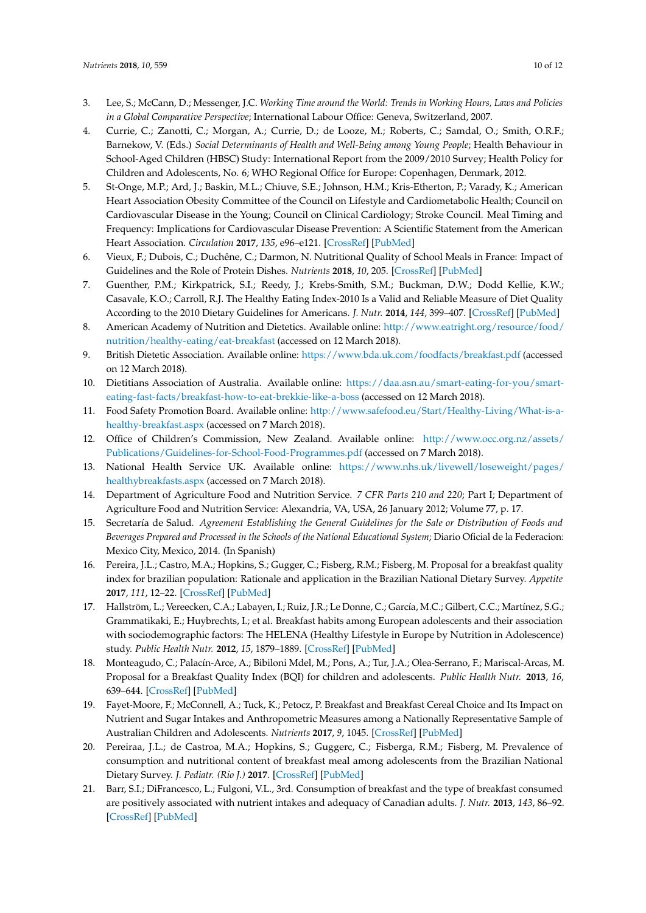- <span id="page-9-0"></span>3. Lee, S.; McCann, D.; Messenger, J.C. *Working Time around the World: Trends in Working Hours, Laws and Policies in a Global Comparative Perspective*; International Labour Office: Geneva, Switzerland, 2007.
- <span id="page-9-1"></span>4. Currie, C.; Zanotti, C.; Morgan, A.; Currie, D.; de Looze, M.; Roberts, C.; Samdal, O.; Smith, O.R.F.; Barnekow, V. (Eds.) Social Determinants of Health and Well-Being among Young People; Health Behaviour in School-Aged Children (HBSC) Study: International Report from the 2009/2010 Survey; Health Policy for Children and Adolescents, No. 6; WHO Regional Office for Europe: Copenhagen, Denmark, 2012.
- <span id="page-9-2"></span>5. St-Onge, M.P.; Ard, J.; Baskin, M.L.; Chiuve, S.E.; Johnson, H.M.; Kris-Etherton, P.; Varady, K.; American Heart Association Obesity Committee of the Council on Lifestyle and Cardiometabolic Health; Council on Cardiovascular Disease in the Young; Council on Clinical Cardiology; Stroke Council. Meal Timing and Frequency: Implications for Cardiovascular Disease Prevention: A Scientific Statement from the American Heart Association. *Circulation* **2017**, *135*, e96–e121. [\[CrossRef\]](http://dx.doi.org/10.1161/CIR.0000000000000476) [\[PubMed\]](http://www.ncbi.nlm.nih.gov/pubmed/28137935)
- <span id="page-9-3"></span>6. Vieux, F.; Dubois, C.; Duchêne, C.; Darmon, N. Nutritional Quality of School Meals in France: Impact of Guidelines and the Role of Protein Dishes. *Nutrients* **2018**, *10*, 205. [\[CrossRef\]](http://dx.doi.org/10.3390/nu10020205) [\[PubMed\]](http://www.ncbi.nlm.nih.gov/pubmed/29438354)
- <span id="page-9-4"></span>7. Guenther, P.M.; Kirkpatrick, S.I.; Reedy, J.; Krebs-Smith, S.M.; Buckman, D.W.; Dodd Kellie, K.W.; Casavale, K.O.; Carroll, R.J. The Healthy Eating Index-2010 Is a Valid and Reliable Measure of Diet Quality According to the 2010 Dietary Guidelines for Americans. *J. Nutr.* **2014**, *144*, 399–407. [\[CrossRef\]](http://dx.doi.org/10.3945/jn.113.183079) [\[PubMed\]](http://www.ncbi.nlm.nih.gov/pubmed/24453128)
- <span id="page-9-5"></span>8. American Academy of Nutrition and Dietetics. Available online: [http://www.eatright.org/resource/food/](http://www.eatright.org/resource/food/nutrition/healthy-eating/eat-breakfast) [nutrition/healthy-eating/eat-breakfast](http://www.eatright.org/resource/food/nutrition/healthy-eating/eat-breakfast) (accessed on 12 March 2018).
- 9. British Dietetic Association. Available online: <https://www.bda.uk.com/foodfacts/breakfast.pdf> (accessed on 12 March 2018).
- <span id="page-9-6"></span>10. Dietitians Association of Australia. Available online: [https://daa.asn.au/smart-eating-for-you/smart](https://daa.asn.au/smart-eating-for-you/smart-eating-fast-facts/breakfast-how-to-eat-brekkie-like-a-boss)[eating-fast-facts/breakfast-how-to-eat-brekkie-like-a-boss](https://daa.asn.au/smart-eating-for-you/smart-eating-fast-facts/breakfast-how-to-eat-brekkie-like-a-boss) (accessed on 12 March 2018).
- <span id="page-9-7"></span>11. Food Safety Promotion Board. Available online: [http://www.safefood.eu/Start/Healthy-Living/What-is-a](http://www.safefood.eu/Start/Healthy-Living/What-is-a-healthy-breakfast.aspx)[healthy-breakfast.aspx](http://www.safefood.eu/Start/Healthy-Living/What-is-a-healthy-breakfast.aspx) (accessed on 7 March 2018).
- 12. Office of Children's Commission, New Zealand. Available online: [http://www.occ.org.nz/assets/](http://www.occ.org.nz/assets/Publications/Guidelines-for-School-Food-Programmes.pdf) [Publications/Guidelines-for-School-Food-Programmes.pdf](http://www.occ.org.nz/assets/Publications/Guidelines-for-School-Food-Programmes.pdf) (accessed on 7 March 2018).
- <span id="page-9-8"></span>13. National Health Service UK. Available online: [https://www.nhs.uk/livewell/loseweight/pages/](https://www.nhs.uk/livewell/loseweight/pages/healthybreakfasts.aspx) [healthybreakfasts.aspx](https://www.nhs.uk/livewell/loseweight/pages/healthybreakfasts.aspx) (accessed on 7 March 2018).
- <span id="page-9-9"></span>14. Department of Agriculture Food and Nutrition Service. *7 CFR Parts 210 and 220*; Part I; Department of Agriculture Food and Nutrition Service: Alexandria, VA, USA, 26 January 2012; Volume 77, p. 17.
- <span id="page-9-10"></span>15. Secretaría de Salud. *Agreement Establishing the General Guidelines for the Sale or Distribution of Foods and Beverages Prepared and Processed in the Schools of the National Educational System*; Diario Oficial de la Federacion: Mexico City, Mexico, 2014. (In Spanish)
- <span id="page-9-11"></span>16. Pereira, J.L.; Castro, M.A.; Hopkins, S.; Gugger, C.; Fisberg, R.M.; Fisberg, M. Proposal for a breakfast quality index for brazilian population: Rationale and application in the Brazilian National Dietary Survey. *Appetite* **2017**, *111*, 12–22. [\[CrossRef\]](http://dx.doi.org/10.1016/j.appet.2016.12.023) [\[PubMed\]](http://www.ncbi.nlm.nih.gov/pubmed/28007489)
- 17. Hallström, L.; Vereecken, C.A.; Labayen, I.; Ruiz, J.R.; Le Donne, C.; García, M.C.; Gilbert, C.C.; Martínez, S.G.; Grammatikaki, E.; Huybrechts, I.; et al. Breakfast habits among European adolescents and their association with sociodemographic factors: The HELENA (Healthy Lifestyle in Europe by Nutrition in Adolescence) study. *Public Health Nutr.* **2012**, *15*, 1879–1889. [\[CrossRef\]](http://dx.doi.org/10.1017/S1368980012000341) [\[PubMed\]](http://www.ncbi.nlm.nih.gov/pubmed/22348273)
- <span id="page-9-12"></span>18. Monteagudo, C.; Palacín-Arce, A.; Bibiloni Mdel, M.; Pons, A.; Tur, J.A.; Olea-Serrano, F.; Mariscal-Arcas, M. Proposal for a Breakfast Quality Index (BQI) for children and adolescents. *Public Health Nutr.* **2013**, *16*, 639–644. [\[CrossRef\]](http://dx.doi.org/10.1017/S1368980012003175) [\[PubMed\]](http://www.ncbi.nlm.nih.gov/pubmed/22874533)
- <span id="page-9-13"></span>19. Fayet-Moore, F.; McConnell, A.; Tuck, K.; Petocz, P. Breakfast and Breakfast Cereal Choice and Its Impact on Nutrient and Sugar Intakes and Anthropometric Measures among a Nationally Representative Sample of Australian Children and Adolescents. *Nutrients* **2017**, *9*, 1045. [\[CrossRef\]](http://dx.doi.org/10.3390/nu9101045) [\[PubMed\]](http://www.ncbi.nlm.nih.gov/pubmed/28934111)
- <span id="page-9-14"></span>20. Pereiraa, J.L.; de Castroa, M.A.; Hopkins, S.; Guggerc, C.; Fisberga, R.M.; Fisberg, M. Prevalence of consumption and nutritional content of breakfast meal among adolescents from the Brazilian National Dietary Survey. *J. Pediatr. (Rio J.)* **2017**. [\[CrossRef\]](http://dx.doi.org/10.1016/j.jped.2017.10.004) [\[PubMed\]](http://www.ncbi.nlm.nih.gov/pubmed/29121493)
- <span id="page-9-15"></span>21. Barr, S.I.; DiFrancesco, L.; Fulgoni, V.L., 3rd. Consumption of breakfast and the type of breakfast consumed are positively associated with nutrient intakes and adequacy of Canadian adults. *J. Nutr.* **2013**, *143*, 86–92. [\[CrossRef\]](http://dx.doi.org/10.3945/jn.112.167098) [\[PubMed\]](http://www.ncbi.nlm.nih.gov/pubmed/23173176)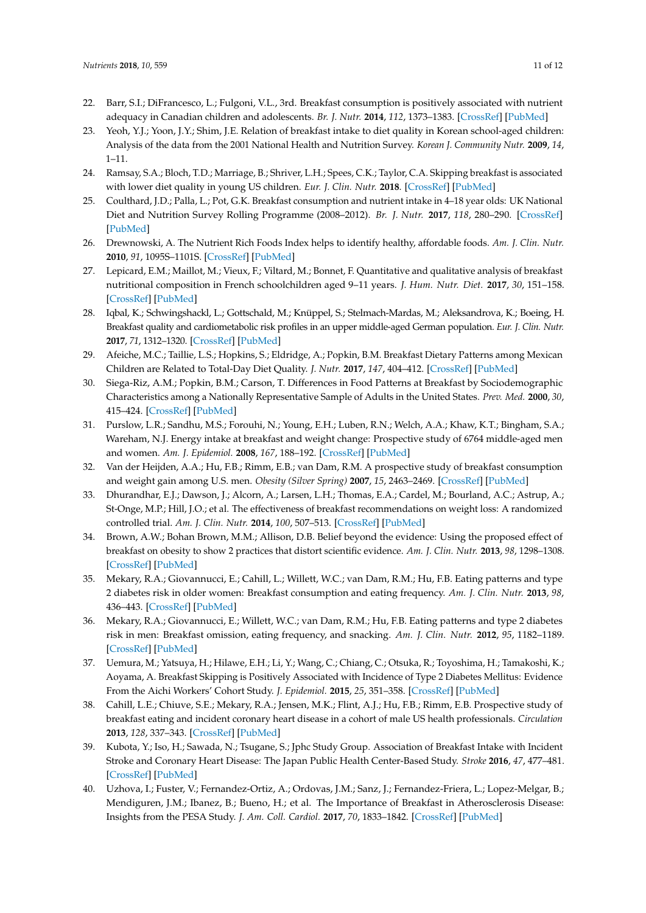- <span id="page-10-0"></span>22. Barr, S.I.; DiFrancesco, L.; Fulgoni, V.L., 3rd. Breakfast consumption is positively associated with nutrient adequacy in Canadian children and adolescents. *Br. J. Nutr.* **2014**, *112*, 1373–1383. [\[CrossRef\]](http://dx.doi.org/10.1017/S0007114514002190) [\[PubMed\]](http://www.ncbi.nlm.nih.gov/pubmed/25196844)
- <span id="page-10-1"></span>23. Yeoh, Y.J.; Yoon, J.Y.; Shim, J.E. Relation of breakfast intake to diet quality in Korean school-aged children: Analysis of the data from the 2001 National Health and Nutrition Survey. *Korean J. Community Nutr.* **2009**, *14*, 1–11.
- <span id="page-10-2"></span>24. Ramsay, S.A.; Bloch, T.D.; Marriage, B.; Shriver, L.H.; Spees, C.K.; Taylor, C.A. Skipping breakfast is associated with lower diet quality in young US children. *Eur. J. Clin. Nutr.* **2018**. [\[CrossRef\]](http://dx.doi.org/10.1038/s41430-018-0084-3) [\[PubMed\]](http://www.ncbi.nlm.nih.gov/pubmed/29367733)
- <span id="page-10-3"></span>25. Coulthard, J.D.; Palla, L.; Pot, G.K. Breakfast consumption and nutrient intake in 4–18 year olds: UK National Diet and Nutrition Survey Rolling Programme (2008–2012). *Br. J. Nutr.* **2017**, *118*, 280–290. [\[CrossRef\]](http://dx.doi.org/10.1017/S0007114517001714) [\[PubMed\]](http://www.ncbi.nlm.nih.gov/pubmed/28814349)
- <span id="page-10-4"></span>26. Drewnowski, A. The Nutrient Rich Foods Index helps to identify healthy, affordable foods. *Am. J. Clin. Nutr.* **2010**, *91*, 1095S–1101S. [\[CrossRef\]](http://dx.doi.org/10.3945/ajcn.2010.28450D) [\[PubMed\]](http://www.ncbi.nlm.nih.gov/pubmed/20181811)
- <span id="page-10-5"></span>27. Lepicard, E.M.; Maillot, M.; Vieux, F.; Viltard, M.; Bonnet, F. Quantitative and qualitative analysis of breakfast nutritional composition in French schoolchildren aged 9–11 years. *J. Hum. Nutr. Diet.* **2017**, *30*, 151–158. [\[CrossRef\]](http://dx.doi.org/10.1111/jhn.12412) [\[PubMed\]](http://www.ncbi.nlm.nih.gov/pubmed/27714860)
- <span id="page-10-6"></span>28. Iqbal, K.; Schwingshackl, L.; Gottschald, M.; Knüppel, S.; Stelmach-Mardas, M.; Aleksandrova, K.; Boeing, H. Breakfast quality and cardiometabolic risk profiles in an upper middle-aged German population. *Eur. J. Clin. Nutr.* **2017**, *71*, 1312–1320. [\[CrossRef\]](http://dx.doi.org/10.1038/ejcn.2017.116) [\[PubMed\]](http://www.ncbi.nlm.nih.gov/pubmed/28745333)
- <span id="page-10-7"></span>29. Afeiche, M.C.; Taillie, L.S.; Hopkins, S.; Eldridge, A.; Popkin, B.M. Breakfast Dietary Patterns among Mexican Children are Related to Total-Day Diet Quality. *J. Nutr.* **2017**, *147*, 404–412. [\[CrossRef\]](http://dx.doi.org/10.3945/jn.116.239780) [\[PubMed\]](http://www.ncbi.nlm.nih.gov/pubmed/28148681)
- <span id="page-10-8"></span>30. Siega-Riz, A.M.; Popkin, B.M.; Carson, T. Differences in Food Patterns at Breakfast by Sociodemographic Characteristics among a Nationally Representative Sample of Adults in the United States. *Prev. Med.* **2000**, *30*, 415–424. [\[CrossRef\]](http://dx.doi.org/10.1006/pmed.2000.0651) [\[PubMed\]](http://www.ncbi.nlm.nih.gov/pubmed/10845751)
- <span id="page-10-9"></span>31. Purslow, L.R.; Sandhu, M.S.; Forouhi, N.; Young, E.H.; Luben, R.N.; Welch, A.A.; Khaw, K.T.; Bingham, S.A.; Wareham, N.J. Energy intake at breakfast and weight change: Prospective study of 6764 middle-aged men and women. *Am. J. Epidemiol.* **2008**, *167*, 188–192. [\[CrossRef\]](http://dx.doi.org/10.1093/aje/kwm309) [\[PubMed\]](http://www.ncbi.nlm.nih.gov/pubmed/18079134)
- <span id="page-10-10"></span>32. Van der Heijden, A.A.; Hu, F.B.; Rimm, E.B.; van Dam, R.M. A prospective study of breakfast consumption and weight gain among U.S. men. *Obesity (Silver Spring)* **2007**, *15*, 2463–2469. [\[CrossRef\]](http://dx.doi.org/10.1038/oby.2007.292) [\[PubMed\]](http://www.ncbi.nlm.nih.gov/pubmed/17925472)
- <span id="page-10-11"></span>33. Dhurandhar, E.J.; Dawson, J.; Alcorn, A.; Larsen, L.H.; Thomas, E.A.; Cardel, M.; Bourland, A.C.; Astrup, A.; St-Onge, M.P.; Hill, J.O.; et al. The effectiveness of breakfast recommendations on weight loss: A randomized controlled trial. *Am. J. Clin. Nutr.* **2014**, *100*, 507–513. [\[CrossRef\]](http://dx.doi.org/10.3945/ajcn.114.089573) [\[PubMed\]](http://www.ncbi.nlm.nih.gov/pubmed/24898236)
- <span id="page-10-12"></span>34. Brown, A.W.; Bohan Brown, M.M.; Allison, D.B. Belief beyond the evidence: Using the proposed effect of breakfast on obesity to show 2 practices that distort scientific evidence. *Am. J. Clin. Nutr.* **2013**, *98*, 1298–1308. [\[CrossRef\]](http://dx.doi.org/10.3945/ajcn.113.064410) [\[PubMed\]](http://www.ncbi.nlm.nih.gov/pubmed/24004890)
- <span id="page-10-13"></span>35. Mekary, R.A.; Giovannucci, E.; Cahill, L.; Willett, W.C.; van Dam, R.M.; Hu, F.B. Eating patterns and type 2 diabetes risk in older women: Breakfast consumption and eating frequency. *Am. J. Clin. Nutr.* **2013**, *98*, 436–443. [\[CrossRef\]](http://dx.doi.org/10.3945/ajcn.112.057521) [\[PubMed\]](http://www.ncbi.nlm.nih.gov/pubmed/23761483)
- 36. Mekary, R.A.; Giovannucci, E.; Willett, W.C.; van Dam, R.M.; Hu, F.B. Eating patterns and type 2 diabetes risk in men: Breakfast omission, eating frequency, and snacking. *Am. J. Clin. Nutr.* **2012**, *95*, 1182–1189. [\[CrossRef\]](http://dx.doi.org/10.3945/ajcn.111.028209) [\[PubMed\]](http://www.ncbi.nlm.nih.gov/pubmed/22456660)
- <span id="page-10-14"></span>37. Uemura, M.; Yatsuya, H.; Hilawe, E.H.; Li, Y.; Wang, C.; Chiang, C.; Otsuka, R.; Toyoshima, H.; Tamakoshi, K.; Aoyama, A. Breakfast Skipping is Positively Associated with Incidence of Type 2 Diabetes Mellitus: Evidence From the Aichi Workers' Cohort Study. *J. Epidemiol.* **2015**, *25*, 351–358. [\[CrossRef\]](http://dx.doi.org/10.2188/jea.JE20140109) [\[PubMed\]](http://www.ncbi.nlm.nih.gov/pubmed/25787236)
- <span id="page-10-15"></span>38. Cahill, L.E.; Chiuve, S.E.; Mekary, R.A.; Jensen, M.K.; Flint, A.J.; Hu, F.B.; Rimm, E.B. Prospective study of breakfast eating and incident coronary heart disease in a cohort of male US health professionals. *Circulation* **2013**, *128*, 337–343. [\[CrossRef\]](http://dx.doi.org/10.1161/CIRCULATIONAHA.113.001474) [\[PubMed\]](http://www.ncbi.nlm.nih.gov/pubmed/23877060)
- <span id="page-10-16"></span>39. Kubota, Y.; Iso, H.; Sawada, N.; Tsugane, S.; Jphc Study Group. Association of Breakfast Intake with Incident Stroke and Coronary Heart Disease: The Japan Public Health Center-Based Study. *Stroke* **2016**, *47*, 477–481. [\[CrossRef\]](http://dx.doi.org/10.1161/STROKEAHA.115.011350) [\[PubMed\]](http://www.ncbi.nlm.nih.gov/pubmed/26732562)
- <span id="page-10-17"></span>40. Uzhova, I.; Fuster, V.; Fernandez-Ortiz, A.; Ordovas, J.M.; Sanz, J.; Fernandez-Friera, L.; Lopez-Melgar, B.; Mendiguren, J.M.; Ibanez, B.; Bueno, H.; et al. The Importance of Breakfast in Atherosclerosis Disease: Insights from the PESA Study. *J. Am. Coll. Cardiol.* **2017**, *70*, 1833–1842. [\[CrossRef\]](http://dx.doi.org/10.1016/j.jacc.2017.08.027) [\[PubMed\]](http://www.ncbi.nlm.nih.gov/pubmed/28982495)